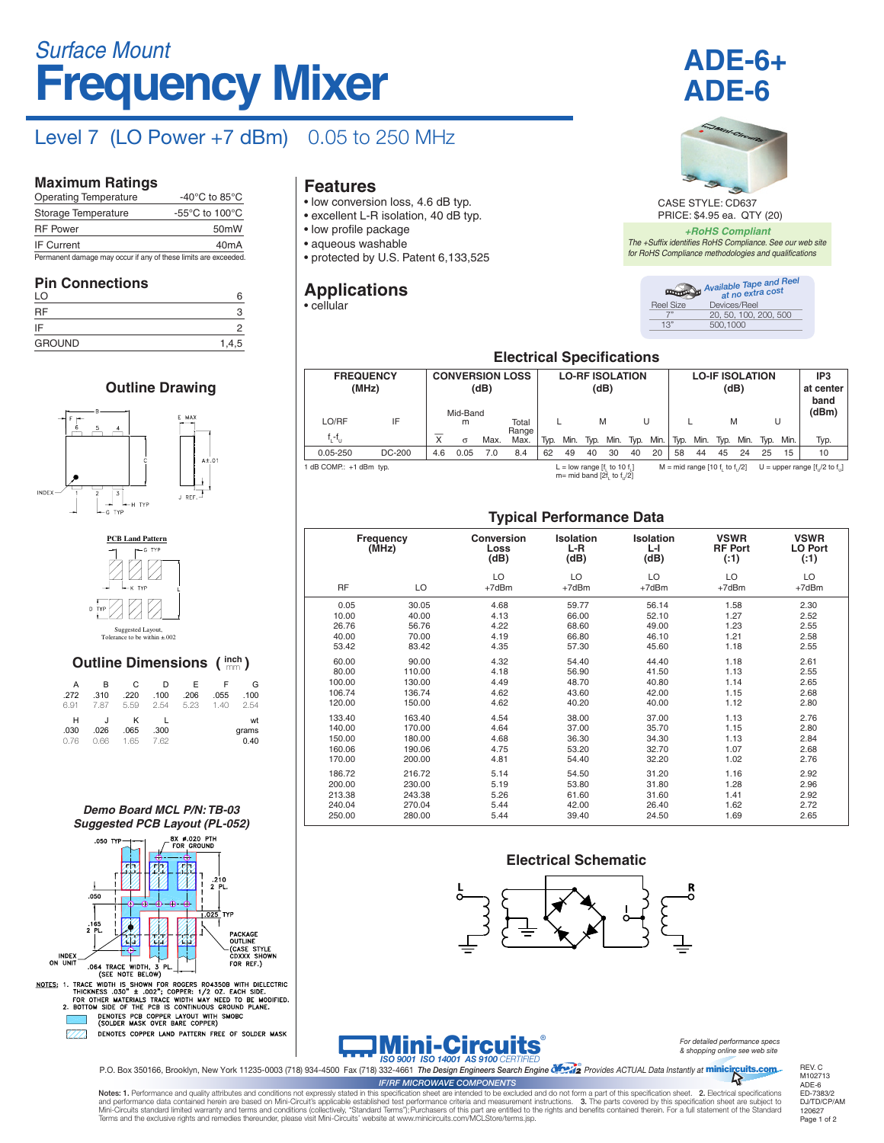# **Frequency Mixer** *Surface Mount*

### Level 7 (LO Power +7 dBm) 0.05 to 250 MHz

#### **Maximum Ratings**

| <b>Operating Temperature</b>                                    | -40 $^{\circ}$ C to 85 $^{\circ}$ C                  |
|-----------------------------------------------------------------|------------------------------------------------------|
| Storage Temperature                                             | -55 $\mathrm{^{\circ}C}$ to 100 $\mathrm{^{\circ}C}$ |
| <b>RF</b> Power                                                 | 50 <sub>m</sub> W                                    |
| <b>IF Current</b>                                               | 40 <sub>m</sub> A                                    |
| Permanent damage may occur if any of these limits are exceeded. |                                                      |

#### **Pin Connections**

| .<br>_ _ _<br>LO | 6     |
|------------------|-------|
| <b>RF</b>        | З     |
| IF               | 2     |
| <b>GROUND</b>    | 1,4,5 |

#### **Outline Drawing**





| <b>Outline Dimensions (inch)</b> |                   |                   |                   |                   |                   |                     |  |  |  |  |
|----------------------------------|-------------------|-------------------|-------------------|-------------------|-------------------|---------------------|--|--|--|--|
| A<br>.272<br>6.91                | в<br>.310<br>7.87 | C<br>.220<br>5.59 | D<br>.100<br>2.54 | F<br>.206<br>5.23 | F<br>.055<br>1.40 | G<br>.100<br>2.54   |  |  |  |  |
| н<br>.030<br>0.76                | J<br>.026<br>0.66 | ĸ<br>.065<br>1.65 | .300<br>7.62      |                   |                   | wt<br>grams<br>0.40 |  |  |  |  |

#### *Demo Board MCL P/N: TB-03 Suggested PCB Layout (PL-052)*



#### **Features**

- low conversion loss, 4.6 dB typ.
- excellent L-R isolation, 40 dB typ.
- low profile package
- aqueous washable
- protected by U.S. Patent 6,133,525

### **Applications**

• cellular





CASE STYLE: CD637 PRICE: \$4.95 ea. QTY (20)

*+RoHS Compliant The +Suffix identifies RoHS Compliance. See our web site for RoHS Compliance methodologies and qualifications*

|           | Available Tape and Reel |
|-----------|-------------------------|
| Reel Size | Devices/Reel            |
|           | 20, 50, 100, 200, 500   |
| 1.3"      | 500.1000                |

#### **Electrical Specifications**

| <b>FREQUENCY</b><br>(MHz)<br>LO/RF | IF     |     | <b>CONVERSION LOSS</b><br>(dB)<br>Mid-Band<br>Total<br>m |      |               | <b>LO-RF ISOLATION</b><br>(dB)<br>M<br>U |      |      |                                                                   | <b>LO-IF ISOLATION</b><br>(dB)<br>M<br>U |      |      |                                 |      | IP <sub>3</sub><br>at center<br>band<br>(dBm) |      |      |                                   |
|------------------------------------|--------|-----|----------------------------------------------------------|------|---------------|------------------------------------------|------|------|-------------------------------------------------------------------|------------------------------------------|------|------|---------------------------------|------|-----------------------------------------------|------|------|-----------------------------------|
| $f_i - f_{i,j}$                    |        | X   | $\sigma$                                                 | Max. | Range<br>Max. | Typ.                                     | Min. | Typ. | Min.                                                              | Typ.                                     | Min. | Typ. | Min.                            | Typ. | Min.                                          | Tvp. | Min. | Typ.                              |
| $0.05 - 250$                       | DC-200 | 4.6 | 0.05                                                     | 7.0  | 8.4           | 62                                       | 49   | 40   | 30                                                                | 40                                       | 20   | 58   | 44                              | 45   | 24                                            | 25   | 15   | 10                                |
| 1 dB COMP.: +1 dBm typ.            |        |     |                                                          |      |               |                                          |      |      | L = low range $[f, to 10 f, ]$<br>$m=$ mid band [2f, to f, $/2$ ] |                                          |      |      | $M = mid range [10 f, to f]/2]$ |      |                                               |      |      | U = upper range $[f]/2$ to $f$ .] |

#### **Typical Performance Data**

|                    |        | . .                               |                          |                        |                                         |                                      |  |
|--------------------|--------|-----------------------------------|--------------------------|------------------------|-----------------------------------------|--------------------------------------|--|
| Frequency<br>(MHz) |        | <b>Conversion</b><br>Loss<br>(dB) | Isolation<br>L-R<br>(dB) | Isolation<br>ы<br>(dB) | <b>VSWR</b><br><b>RF Port</b><br>( : 1) | <b>VSWR</b><br><b>LO Port</b><br>(1) |  |
| <b>RF</b>          | LO     | LO<br>$+7dBr$                     | LO<br>+7dBm              | LO<br>$+7dBr$          | LO<br>$+7$ d $Bm$                       | LO<br>$+7dBr$                        |  |
| 0.05               | 30.05  | 4.68                              | 59.77                    | 56.14                  | 1.58                                    | 2.30                                 |  |
| 10.00              | 40.00  | 4.13                              | 66.00                    | 52.10                  | 1.27                                    | 2.52                                 |  |
| 26.76              | 56.76  | 4.22                              | 68.60                    | 49.00                  | 1.23                                    | 2.55                                 |  |
| 40.00              | 70.00  | 4.19                              | 66.80                    | 46.10                  | 1.21                                    | 2.58                                 |  |
| 53.42              | 83.42  | 4.35                              | 57.30                    | 45.60                  | 1.18                                    | 2.55                                 |  |
| 60.00              | 90.00  | 4.32                              | 54.40                    | 44.40                  | 1.18                                    | 2.61                                 |  |
| 80.00              | 110.00 | 4.18                              | 56.90                    | 41.50                  | 1.13                                    | 2.55                                 |  |
| 100.00             | 130.00 | 4.49                              | 48.70                    | 40.80                  | 1.14                                    | 2.65                                 |  |
| 106.74             | 136.74 | 4.62                              | 43.60                    | 42.00                  | 1.15                                    | 2.68                                 |  |
| 120.00             | 150.00 | 4.62                              | 40.20                    | 40.00                  | 1.12                                    | 2.80                                 |  |
| 133.40             | 163.40 | 4.54                              | 38.00                    | 37.00                  | 1.13                                    | 2.76                                 |  |
| 140.00             | 170.00 | 4.64                              | 37.00                    | 35.70                  | 1.15                                    | 2.80                                 |  |
| 150.00             | 180.00 | 4.68                              | 36.30                    | 34.30                  | 1.13                                    | 2.84                                 |  |
| 160.06             | 190.06 | 4.75                              | 53.20                    | 32.70                  | 1.07                                    | 2.68                                 |  |
| 170.00             | 200.00 | 4.81                              | 54.40                    | 32.20                  | 1.02                                    | 2.76                                 |  |
| 186.72             | 216.72 | 5.14                              | 54.50                    | 31.20                  | 1.16                                    | 2.92                                 |  |
| 200.00             | 230.00 | 5.19                              | 53.80                    | 31.80                  | 1.28                                    | 2.96                                 |  |
| 213.38             | 243.38 | 5.26                              | 61.60                    | 31.60                  | 1.41                                    | 2.92                                 |  |
| 240.04             | 270.04 | 5.44                              | 42.00                    | 26.40                  | 1.62                                    | 2.72                                 |  |
| 250.00             | 280.00 | 5.44                              | 39.40                    | 24.50                  | 1.69                                    | 2.65                                 |  |

#### **Electrical Schematic**



## **Mini-Circuits**

*For detailed performance specs & shopping online see web site*

P.O. Box 350166, Brooklyn, New York 11235-0003 (718) 934-4500 Fax (718) 332-4661 The Design Engineers Search Engine Cryster Provides ACTUAL Data Instantly at minicircuits.com

Notes: 1. Performance and quality attributes and conditions not expressly stated in this specification sheet are intended to be excluded and do not form a part of this specification sheet. 2. Electrical specifications and performance data contained herein are based on Mini-Circuit's applicable established test performance criteria and measurement instructions. 3. The parts covered by this specification sheet are subject to<br>Mini-Circuits Terms and the exclusive rights and remedies thereunder, please visit Mini-Circuits' website at www.minicircuits.com/MCLStore/terms.jsp. *IF/RF MICROWAVE COMPONENTS*

REV. C M102713 ADE-6 ED-7383/2 DJ/TD/CP/AM 120627 Page 1 of 2